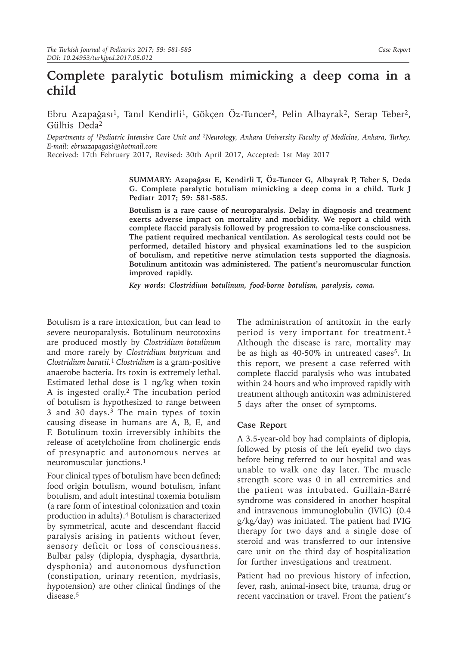## **Complete paralytic botulism mimicking a deep coma in a child**

Ebru Azapağası<sup>1</sup>, Tanıl Kendirli<sup>1</sup>, Gökçen Öz-Tuncer<sup>2</sup>, Pelin Albayrak<sup>2</sup>, Serap Teber<sup>2</sup>, Gülhis Deda<sup>2</sup>

*Departments of 1Pediatric Intensive Care Unit and <sup>2</sup>Neurology, Ankara University Faculty of Medicine, Ankara, Turkey. E-mail: ebruazapagasi@hotmail.com*

Received: 17th February 2017, Revised: 30th April 2017, Accepted: 1st May 2017

**SUMMARY: Azapağası E, Kendirli T, Öz-Tuncer G, Albayrak P, Teber S, Deda G. Complete paralytic botulism mimicking a deep coma in a child. Turk J Pediatr 2017; 59: 581-585.**

**Botulism is a rare cause of neuroparalysis. Delay in diagnosis and treatment exerts adverse impact on mortality and morbidity. We report a child with complete flaccid paralysis followed by progression to coma-like consciousness. The patient required mechanical ventilation. As serological tests could not be performed, detailed history and physical examinations led to the suspicion of botulism, and repetitive nerve stimulation tests supported the diagnosis. Botulinum antitoxin was administered. The patient's neuromuscular function improved rapidly.**

*Key words: Clostridium botulinum, food-borne botulism, paralysis, coma.*

Botulism is a rare intoxication, but can lead to severe neuroparalysis. Botulinum neurotoxins are produced mostly by *Clostridium botulinum* and more rarely by *Clostridium butyricum* and *Clostridium baratii.*<sup>1</sup> *Clostridium* is a gram-positive anaerobe bacteria. Its toxin is extremely lethal. Estimated lethal dose is 1 ng/kg when toxin A is ingested orally.2 The incubation period of botulism is hypothesized to range between 3 and 30 days.3 The main types of toxin causing disease in humans are A, B, E, and F. Botulinum toxin irreversibly inhibits the release of acetylcholine from cholinergic ends of presynaptic and autonomous nerves at neuromuscular junctions.1

Four clinical types of botulism have been defined; food origin botulism, wound botulism, infant botulism, and adult intestinal toxemia botulism (a rare form of intestinal colonization and toxin production in adults).4 Botulism is characterized by symmetrical, acute and descendant flaccid paralysis arising in patients without fever, sensory deficit or loss of consciousness. Bulbar palsy (diplopia, dysphagia, dysarthria, dysphonia) and autonomous dysfunction (constipation, urinary retention, mydriasis, hypotension) are other clinical findings of the disease.<sup>5</sup>

The administration of antitoxin in the early period is very important for treatment.2 Although the disease is rare, mortality may be as high as 40-50% in untreated cases<sup>5</sup>. In this report, we present a case referred with complete flaccid paralysis who was intubated within 24 hours and who improved rapidly with treatment although antitoxin was administered 5 days after the onset of symptoms.

## **Case Report**

A 3.5-year-old boy had complaints of diplopia, followed by ptosis of the left eyelid two days before being referred to our hospital and was unable to walk one day later. The muscle strength score was 0 in all extremities and the patient was intubated. Guillain-Barré syndrome was considered in another hospital and intravenous immunoglobulin (IVIG) (0.4 g/kg/day) was initiated. The patient had IVIG therapy for two days and a single dose of steroid and was transferred to our intensive care unit on the third day of hospitalization for further investigations and treatment.

Patient had no previous history of infection, fever, rash, animal-insect bite, trauma, drug or recent vaccination or travel. From the patient's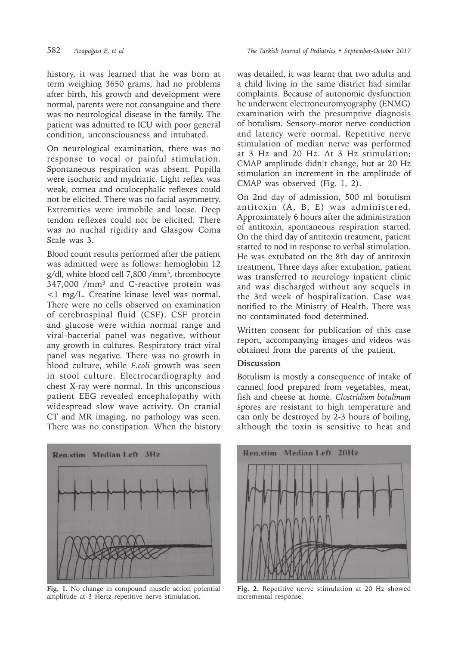history, it was learned that he was born at term weighing 3650 grams, had no problems after birth, his growth and development were normal, parents were not consanguine and there was no neurological disease in the family. The patient was admitted to ICU with poor general condition, unconsciousness and intubated.

On neurological examination, there was no response to vocal or painful stimulation. Spontaneous respiration was absent. Pupilla were isochoric and mydriatic. Light reflex was weak, cornea and oculocephalic reflexes could not be elicited. There was no facial asymmetry. Extremities were immobile and loose. Deep tendon reflexes could not be elicited. There was no nuchal rigidity and Glasgow Coma Scale was 3.

Blood count results performed after the patient was admitted were as follows: hemoglobin 12 g/dl, white blood cell 7,800 /mm3, thrombocyte 347,000 /mm3 and C-reactive protein was <1 mg/L. Creatine kinase level was normal. There were no cells observed on examination of cerebrospinal fluid (CSF). CSF protein and glucose were within normal range and viral-bacterial panel was negative, without any growth in cultures. Respiratory tract viral panel was negative. There was no growth in blood culture, while *E.coli* growth was seen in stool culture. Electrocardiography and chest X-ray were normal. In this unconscious patient EEG revealed encephalopathy with widespread slow wave activity. On cranial CT and MR imaging, no pathology was seen. There was no constipation. When the history



**Fig. 1.** No change in compound muscle action potential amplitude at 3 Hertz repetitive nerve stimulation.

was detailed, it was learnt that two adults and a child living in the same district had similar complaints. Because of autonomic dysfunction he underwent electroneuromyography (ENMG) examination with the presumptive diagnosis of botulism. Sensory–motor nerve conduction and latency were normal. Repetitive nerve stimulation of median nerve was performed at 3 Hz and 20 Hz. At 3 Hz stimulation; CMAP amplitude didn't change, but at 20 Hz stimulation an increment in the amplitude of CMAP was observed (Fig. 1, 2).

On 2nd day of admission, 500 ml botulism antitoxin (A, B, E) was administered. Approximately 6 hours after the administration of antitoxin, spontaneous respiration started. On the third day of antitoxin treatment, patient started to nod in response to verbal stimulation. He was extubated on the 8th day of antitoxin treatment. Three days after extubation, patient was transferred to neurology inpatient clinic and was discharged without any sequels in the 3rd week of hospitalization. Case was notified to the Ministry of Health. There was no contaminated food determined.

Written consent for publication of this case report, accompanying images and videos was obtained from the parents of the patient.

## **Discussion**

Botulism is mostly a consequence of intake of canned food prepared from vegetables, meat, fish and cheese at home. *Clostridium botulinum*  spores are resistant to high temperature and can only be destroyed by 2-3 hours of boiling, although the toxin is sensitive to heat and



**Fig. 2.** Repetitive nerve stimulation at 20 Hz showed incremental response.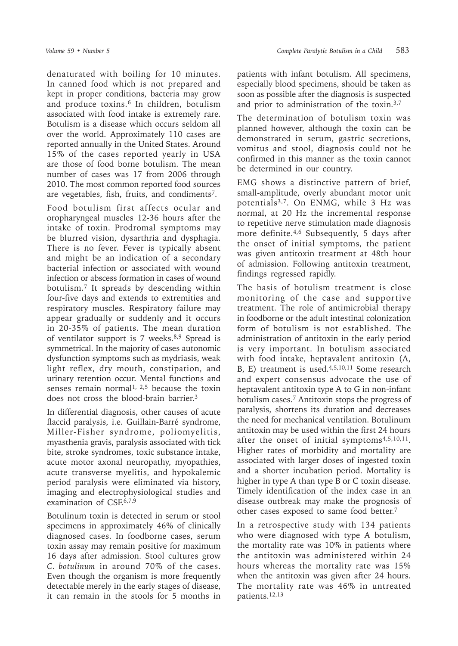denaturated with boiling for 10 minutes. In canned food which is not prepared and kept in proper conditions, bacteria may grow and produce toxins.<sup>6</sup> In children, botulism associated with food intake is extremely rare. Botulism is a disease which occurs seldom all over the world. Approximately 110 cases are reported annually in the United States. Around 15% of the cases reported yearly in USA are those of food borne botulism. The mean number of cases was 17 from 2006 through 2010. The most common reported food sources are vegetables, fish, fruits, and condiments7.

Food botulism first affects ocular and oropharyngeal muscles 12-36 hours after the intake of toxin. Prodromal symptoms may be blurred vision, dysarthria and dysphagia. There is no fever. Fever is typically absent and might be an indication of a secondary bacterial infection or associated with wound infection or abscess formation in cases of wound botulism.7 It spreads by descending within four-five days and extends to extremities and respiratory muscles. Respiratory failure may appear gradually or suddenly and it occurs in 20-35% of patients. The mean duration of ventilator support is 7 weeks.<sup>8,9</sup> Spread is symmetrical. In the majority of cases autonomic dysfunction symptoms such as mydriasis, weak light reflex, dry mouth, constipation, and urinary retention occur. Mental functions and senses remain normal<sup>1, 2,5</sup> because the toxin does not cross the blood-brain barrier.3

In differential diagnosis, other causes of acute flaccid paralysis, i.e. Guillain-Barré syndrome, Miller-Fisher syndrome, poliomyelitis, myasthenia gravis, paralysis associated with tick bite, stroke syndromes, toxic substance intake, acute motor axonal neuropathy, myopathies, acute transverse myelitis, and hypokalemic period paralysis were eliminated via history, imaging and electrophysiological studies and examination of  $CSE<sup>6,7,9</sup>$ 

Botulinum toxin is detected in serum or stool specimens in approximately 46% of clinically diagnosed cases. In foodborne cases, serum toxin assay may remain positive for maximum 16 days after admission. Stool cultures grow *C. botulinum* in around 70% of the cases. Even though the organism is more frequently detectable merely in the early stages of disease, it can remain in the stools for 5 months in

patients with infant botulism. All specimens, especially blood specimens, should be taken as soon as possible after the diagnosis is suspected and prior to administration of the toxin.3,7

The determination of botulism toxin was planned however, although the toxin can be demonstrated in serum, gastric secretions, vomitus and stool, diagnosis could not be confirmed in this manner as the toxin cannot be determined in our country.

EMG shows a distinctive pattern of brief, small-amplitude, overly abundant motor unit potentials3,7. On ENMG, while 3 Hz was normal, at 20 Hz the incremental response to repetitive nerve stimulation made diagnosis more definite.4,6 Subsequently, 5 days after the onset of initial symptoms, the patient was given antitoxin treatment at 48th hour of admission. Following antitoxin treatment, findings regressed rapidly.

The basis of botulism treatment is close monitoring of the case and supportive treatment. The role of antimicrobial therapy in foodborne or the adult intestinal colonization form of botulism is not established. The administration of antitoxin in the early period is very important. In botulism associated with food intake, heptavalent antitoxin (A, B, E) treatment is used.<sup>4,5,10,11</sup> Some research and expert consensus advocate the use of heptavalent antitoxin type A to G in non-infant botulism cases.7 Antitoxin stops the progress of paralysis, shortens its duration and decreases the need for mechanical ventilation. Botulinum antitoxin may be used within the first 24 hours after the onset of initial symptoms<sup>4,5,10,11</sup>. Higher rates of morbidity and mortality are associated with larger doses of ingested toxin and a shorter incubation period. Mortality is higher in type A than type B or C toxin disease. Timely identification of the index case in an disease outbreak may make the prognosis of other cases exposed to same food better.7

In a retrospective study with 134 patients who were diagnosed with type A botulism, the mortality rate was 10% in patients where the antitoxin was administered within 24 hours whereas the mortality rate was 15% when the antitoxin was given after 24 hours. The mortality rate was 46% in untreated patients.12,13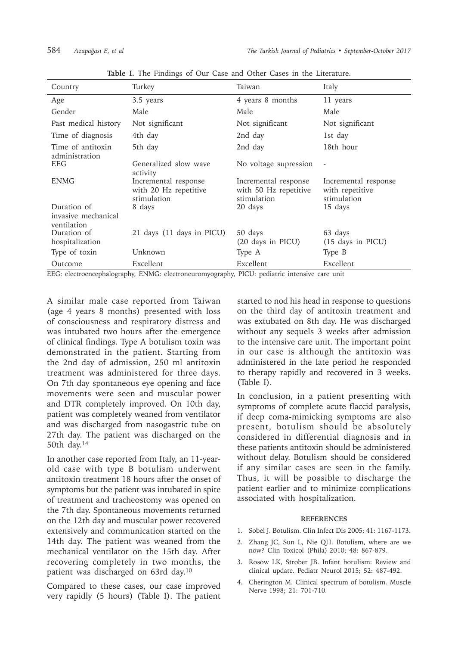| Country                                           | Turkey                                                                   | Taiwan                                                       | Italy                                                  |
|---------------------------------------------------|--------------------------------------------------------------------------|--------------------------------------------------------------|--------------------------------------------------------|
| Age                                               | 3.5 years                                                                | 4 years 8 months                                             | 11 years                                               |
| Gender                                            | Male                                                                     | Male                                                         | Male                                                   |
| Past medical history                              | Not significant                                                          | Not significant                                              | Not significant                                        |
| Time of diagnosis                                 | 4th day                                                                  | 2nd day                                                      | 1st day                                                |
| Time of antitoxin<br>administration               | 5th day                                                                  | 2nd day                                                      | 18th hour                                              |
| EEG                                               | Generalized slow wave                                                    | No voltage supression                                        |                                                        |
| <b>ENMG</b>                                       | activity<br>Incremental response<br>with 20 Hz repetitive<br>stimulation | Incremental response<br>with 50 Hz repetitive<br>stimulation | Incremental response<br>with repetitive<br>stimulation |
| Duration of<br>invasive mechanical<br>ventilation | 8 days                                                                   | 20 days                                                      | 15 days                                                |
| Duration of<br>hospitalization                    | 21 days (11 days in PICU)                                                | 50 days<br>(20 days in PICU)                                 | 63 days<br>(15 days in PICU)                           |
| Type of toxin                                     | Unknown                                                                  | Type A                                                       | Type B                                                 |
| Outcome                                           | Excellent                                                                | Excellent                                                    | Excellent                                              |

Table I. The Findings of Our Case and Other Cases in the Literature.

EEG: electroencephalography, ENMG: electroneuromyography, PICU: pediatric intensive care unit

A similar male case reported from Taiwan (age 4 years 8 months) presented with loss of consciousness and respiratory distress and was intubated two hours after the emergence of clinical findings. Type A botulism toxin was demonstrated in the patient. Starting from the 2nd day of admission, 250 ml antitoxin treatment was administered for three days. On 7th day spontaneous eye opening and face movements were seen and muscular power and DTR completely improved. On 10th day, patient was completely weaned from ventilator and was discharged from nasogastric tube on 27th day. The patient was discharged on the 50th day.14

In another case reported from Italy, an 11-yearold case with type B botulism underwent antitoxin treatment 18 hours after the onset of symptoms but the patient was intubated in spite of treatment and tracheostomy was opened on the 7th day. Spontaneous movements returned on the 12th day and muscular power recovered extensively and communication started on the 14th day. The patient was weaned from the mechanical ventilator on the 15th day. After recovering completely in two months, the patient was discharged on 63rd day.10

Compared to these cases, our case improved very rapidly (5 hours) (Table I). The patient

started to nod his head in response to questions on the third day of antitoxin treatment and was extubated on 8th day. He was discharged without any sequels 3 weeks after admission to the intensive care unit. The important point in our case is although the antitoxin was administered in the late period he responded to therapy rapidly and recovered in 3 weeks. (Table I).

In conclusion, in a patient presenting with symptoms of complete acute flaccid paralysis, if deep coma-mimicking symptoms are also present, botulism should be absolutely considered in differential diagnosis and in these patients antitoxin should be administered without delay. Botulism should be considered if any similar cases are seen in the family. Thus, it will be possible to discharge the patient earlier and to minimize complications associated with hospitalization.

## **REFERENCES**

- 1. Sobel J. Botulism. Clin Infect Dis 2005; 41: 1167-1173.
- 2. Zhang JC, Sun L, Nie QH. Botulism, where are we now? Clin Toxicol (Phila) 2010; 48: 867-879.
- 3. Rosow LK, Strober JB. Infant botulism: Review and clinical update. Pediatr Neurol 2015; 52: 487-492.
- 4. Cherington M. Clinical spectrum of botulism. Muscle Nerve 1998; 21: 701-710.